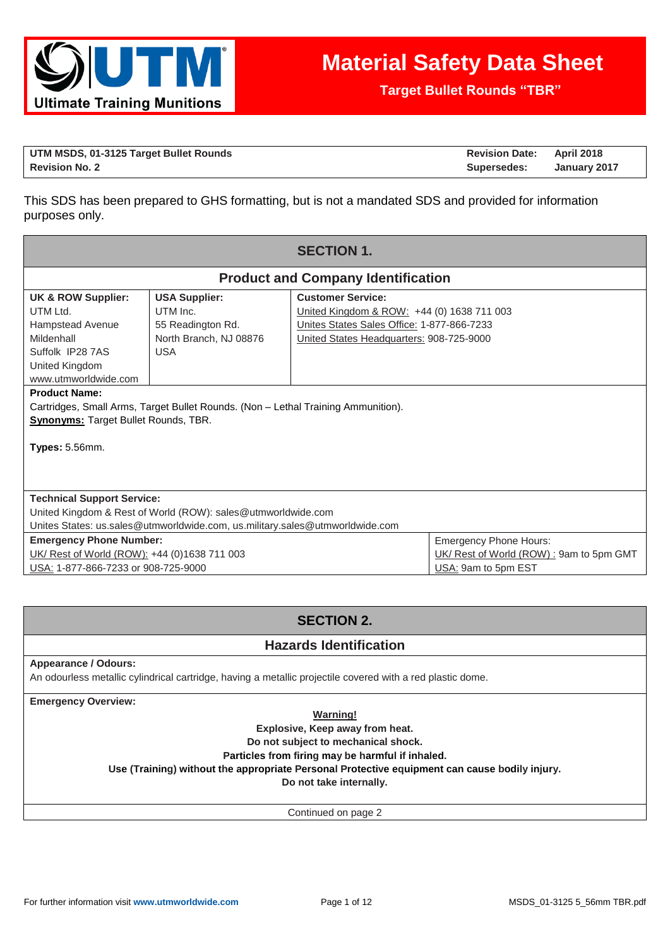

**Target Bullet Rounds "TBR"**

| UTM MSDS, 01-3125 Target Bullet Rounds | <b>Revision Date: April 2018</b> |              |
|----------------------------------------|----------------------------------|--------------|
| <b>Revision No. 2</b>                  | Supersedes:                      | January 2017 |

This SDS has been prepared to GHS formatting, but is not a mandated SDS and provided for information purposes only.

| <b>SECTION 1.</b>                                                                                                                                                                                                        |                                                                                               |                                                                                                                                                                  |  |  |  |
|--------------------------------------------------------------------------------------------------------------------------------------------------------------------------------------------------------------------------|-----------------------------------------------------------------------------------------------|------------------------------------------------------------------------------------------------------------------------------------------------------------------|--|--|--|
|                                                                                                                                                                                                                          | <b>Product and Company Identification</b>                                                     |                                                                                                                                                                  |  |  |  |
| <b>UK &amp; ROW Supplier:</b><br>UTM Ltd.<br>Hampstead Avenue<br>Mildenhall<br>Suffolk IP28 7AS<br>United Kingdom<br>www.utmworldwide.com                                                                                | <b>USA Supplier:</b><br>UTM Inc.<br>55 Readington Rd.<br>North Branch, NJ 08876<br><b>USA</b> | <b>Customer Service:</b><br>United Kingdom & ROW: +44 (0) 1638 711 003<br>Unites States Sales Office: 1-877-866-7233<br>United States Headquarters: 908-725-9000 |  |  |  |
| <b>Product Name:</b><br>Cartridges, Small Arms, Target Bullet Rounds. (Non - Lethal Training Ammunition).<br><b>Synonyms: Target Bullet Rounds, TBR.</b><br><b>Types: 5.56mm.</b>                                        |                                                                                               |                                                                                                                                                                  |  |  |  |
| <b>Technical Support Service:</b><br>United Kingdom & Rest of World (ROW): sales@utmworldwide.com<br>Unites States: us.sales@utmworldwide.com, us.military.sales@utmworldwide.com                                        |                                                                                               |                                                                                                                                                                  |  |  |  |
| <b>Emergency Phone Hours:</b><br><b>Emergency Phone Number:</b><br>UK/ Rest of World (ROW): +44 (0)1638 711 003<br>UK/ Rest of World (ROW): 9am to 5pm GMT<br>USA: 1-877-866-7233 or 908-725-9000<br>USA: 9am to 5pm EST |                                                                                               |                                                                                                                                                                  |  |  |  |

# **SECTION 2.**

## **Hazards Identification**

## **Appearance / Odours:**

An odourless metallic cylindrical cartridge, having a metallic projectile covered with a red plastic dome.

**Emergency Overview:**

**Warning! Explosive, Keep away from heat. Do not subject to mechanical shock. Particles from firing may be harmful if inhaled.**

**Use (Training) without the appropriate Personal Protective equipment can cause bodily injury.**

**Do not take internally.**

Continued on page 2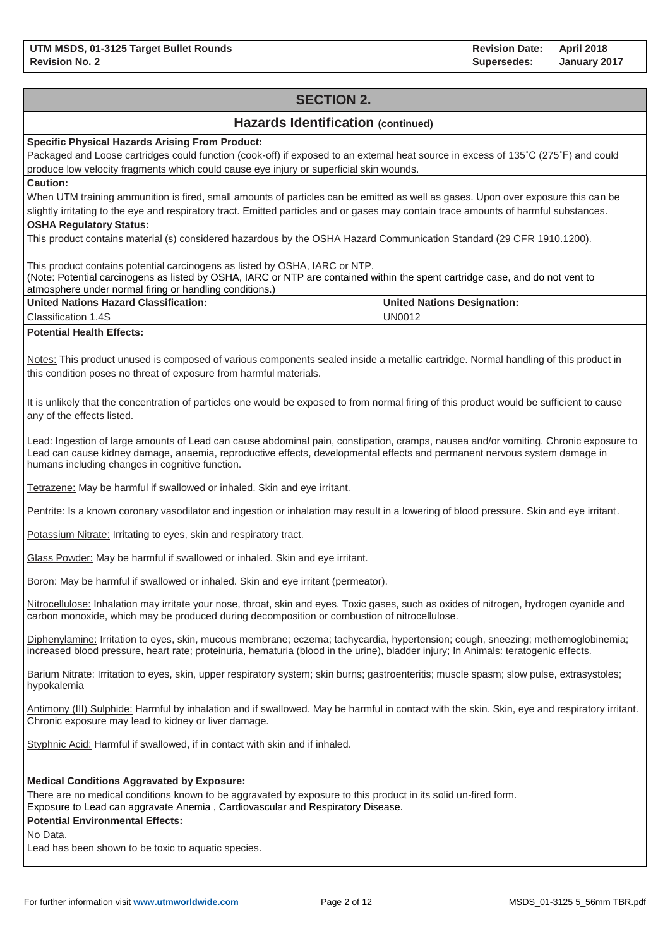# **SECTION 2. Hazards Identification (continued) Specific Physical Hazards Arising From Product:** Packaged and Loose cartridges could function (cook-off) if exposed to an external heat source in excess of 135˚C (275˚F) and could produce low velocity fragments which could cause eye injury or superficial skin wounds. **Caution:** When UTM training ammunition is fired, small amounts of particles can be emitted as well as gases. Upon over exposure this can be slightly irritating to the eye and respiratory tract. Emitted particles and or gases may contain trace amounts of harmful substances. **OSHA Regulatory Status:** This product contains material (s) considered hazardous by the OSHA Hazard Communication Standard (29 CFR 1910.1200). This product contains potential carcinogens as listed by OSHA, IARC or NTP. (Note: Potential carcinogens as listed by OSHA, IARC or NTP are contained within the spent cartridge case, and do not vent to atmosphere under normal firing or handling conditions.) **United Nations Hazard Classification:** Classification 1.4S **United Nations Designation:** UN0012 **Potential Health Effects:** Notes: This product unused is composed of various components sealed inside a metallic cartridge. Normal handling of this product in this condition poses no threat of exposure from harmful materials. It is unlikely that the concentration of particles one would be exposed to from normal firing of this product would be sufficient to cause any of the effects listed. Lead: Ingestion of large amounts of Lead can cause abdominal pain, constipation, cramps, nausea and/or vomiting. Chronic exposure to Lead can cause kidney damage, anaemia, reproductive effects, developmental effects and permanent nervous system damage in humans including changes in cognitive function. Tetrazene: May be harmful if swallowed or inhaled. Skin and eye irritant. Pentrite: Is a known coronary vasodilator and ingestion or inhalation may result in a lowering of blood pressure. Skin and eye irritant. Potassium Nitrate: Irritating to eyes, skin and respiratory tract. Glass Powder: May be harmful if swallowed or inhaled. Skin and eye irritant. Boron: May be harmful if swallowed or inhaled. Skin and eye irritant (permeator). Nitrocellulose: Inhalation may irritate your nose, throat, skin and eyes. Toxic gases, such as oxides of nitrogen, hydrogen cyanide and carbon monoxide, which may be produced during decomposition or combustion of nitrocellulose. Diphenylamine: Irritation to eyes, skin, mucous membrane; eczema; tachycardia, hypertension; cough, sneezing; methemoglobinemia; increased blood pressure, heart rate; proteinuria, hematuria (blood in the urine), bladder injury; In Animals: teratogenic effects. Barium Nitrate: Irritation to eyes, skin, upper respiratory system; skin burns; gastroenteritis; muscle spasm; slow pulse, extrasystoles; hypokalemia Antimony (III) Sulphide: Harmful by inhalation and if swallowed. May be harmful in contact with the skin. Skin, eye and respiratory irritant. Chronic exposure may lead to kidney or liver damage. Styphnic Acid: Harmful if swallowed, if in contact with skin and if inhaled. **Medical Conditions Aggravated by Exposure:** There are no medical conditions known to be aggravated by exposure to this product in its solid un-fired form. Exposure to Lead can aggravate Anemia , Cardiovascular and Respiratory Disease. **Potential Environmental Effects:** No Data. Lead has been shown to be toxic to aquatic species.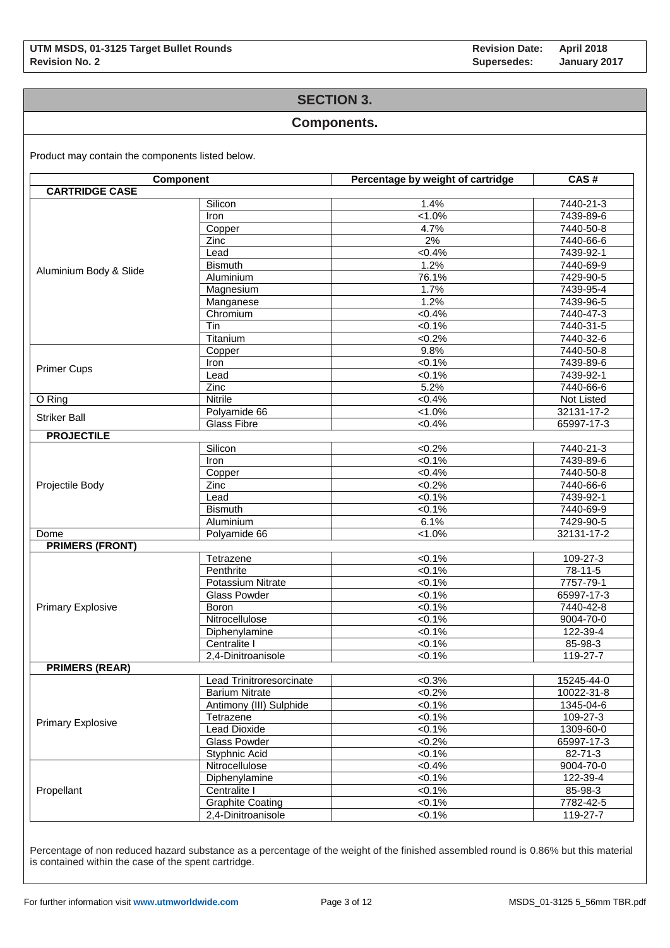## **SECTION 3.**

### **Components.**

Product may contain the components listed below.

| <b>Component</b>         |                          | Percentage by weight of cartridge | CAS#            |  |  |
|--------------------------|--------------------------|-----------------------------------|-----------------|--|--|
| <b>CARTRIDGE CASE</b>    |                          |                                   |                 |  |  |
|                          | Silicon                  | 1.4%                              | 7440-21-3       |  |  |
|                          | Iron                     | $1.0\%$                           | 7439-89-6       |  |  |
|                          | Copper                   | 4.7%                              | 7440-50-8       |  |  |
|                          | Zinc                     | 2%                                | 7440-66-6       |  |  |
|                          | Lead                     | <0.4%                             | 7439-92-1       |  |  |
|                          | <b>Bismuth</b>           | 1.2%                              | 7440-69-9       |  |  |
| Aluminium Body & Slide   | Aluminium                | 76.1%                             | 7429-90-5       |  |  |
|                          | Magnesium                | 1.7%                              | 7439-95-4       |  |  |
|                          | Manganese                | 1.2%                              | 7439-96-5       |  |  |
|                          | Chromium                 | $< 0.4\%$                         | 7440-47-3       |  |  |
|                          | Tin                      | $< 0.1\%$                         | 7440-31-5       |  |  |
|                          | Titanium                 | $<0.2\%$                          | 7440-32-6       |  |  |
|                          | Copper                   | 9.8%                              | $7440 - 50 - 8$ |  |  |
|                          | Iron                     | $<0.1\%$                          | 7439-89-6       |  |  |
| <b>Primer Cups</b>       | Lead                     | $< 0.1\%$                         | 7439-92-1       |  |  |
|                          | Zinc                     | 5.2%                              | 7440-66-6       |  |  |
| O Ring                   | <b>Nitrile</b>           | <0.4%                             | Not Listed      |  |  |
|                          | Polyamide 66             | $< 1.0\%$                         | 32131-17-2      |  |  |
| <b>Striker Ball</b>      | <b>Glass Fibre</b>       | $< 0.4\%$                         | 65997-17-3      |  |  |
| <b>PROJECTILE</b>        |                          |                                   |                 |  |  |
|                          | Silicon                  | $<0.2\%$                          | 7440-21-3       |  |  |
|                          | Iron                     | $< 0.1\%$                         | 7439-89-6       |  |  |
|                          | Copper                   | $< 0.4\%$                         | 7440-50-8       |  |  |
| Projectile Body          | Zinc                     | $< 0.2\%$                         | 7440-66-6       |  |  |
|                          | Lead                     | $<0.1\%$                          | 7439-92-1       |  |  |
|                          | <b>Bismuth</b>           | $< 0.1\%$                         | 7440-69-9       |  |  |
|                          | Aluminium                | 6.1%                              | 7429-90-5       |  |  |
| Dome                     | Polyamide 66             | $1.0\%$                           | 32131-17-2      |  |  |
| <b>PRIMERS (FRONT)</b>   |                          |                                   |                 |  |  |
|                          | Tetrazene                | $< 0.1\%$                         | 109-27-3        |  |  |
|                          | Penthrite                | $< 0.1\%$                         | 78-11-5         |  |  |
|                          | Potassium Nitrate        | $< 0.1\%$                         | 7757-79-1       |  |  |
|                          | <b>Glass Powder</b>      | 50.1%                             | 65997-17-3      |  |  |
| Primary Explosive        | Boron                    | $< 0.1\%$                         | 7440-42-8       |  |  |
|                          | Nitrocellulose           | $< 0.1\%$                         | 9004-70-0       |  |  |
|                          | Diphenylamine            | $< 0.1\%$                         | 122-39-4        |  |  |
|                          | Centralite I             | $< 0.1\%$                         | 85-98-3         |  |  |
|                          | 2,4-Dinitroanisole       | $< 0.1\%$                         | 119-27-7        |  |  |
| <b>PRIMERS (REAR)</b>    |                          |                                   |                 |  |  |
|                          | Lead Trinitroresorcinate | $<0.3\%$                          | 15245-44-0      |  |  |
|                          | <b>Barium Nitrate</b>    | $<0.2\%$                          | 10022-31-8      |  |  |
|                          | Antimony (III) Sulphide  | $< 0.1\%$                         | 1345-04-6       |  |  |
|                          | Tetrazene                | $<0.1\%$                          | 109-27-3        |  |  |
| <b>Primary Explosive</b> | <b>Lead Dioxide</b>      | $< 0.1\%$                         | 1309-60-0       |  |  |
|                          | <b>Glass Powder</b>      | $<0.2\%$                          | 65997-17-3      |  |  |
|                          | Styphnic Acid            | $< 0.1\%$                         | 82-71-3         |  |  |
|                          | Nitrocellulose           | $< 0.4\%$                         | 9004-70-0       |  |  |
|                          | Diphenylamine            | $<0.1\%$                          | 122-39-4        |  |  |
| Propellant               | Centralite I             | $<0.1\%$                          | 85-98-3         |  |  |
|                          | <b>Graphite Coating</b>  | $<0.1\%$                          | 7782-42-5       |  |  |
|                          | 2,4-Dinitroanisole       | $< 0.1\%$                         | 119-27-7        |  |  |

Percentage of non reduced hazard substance as a percentage of the weight of the finished assembled round is 0.86% but this material is contained within the case of the spent cartridge.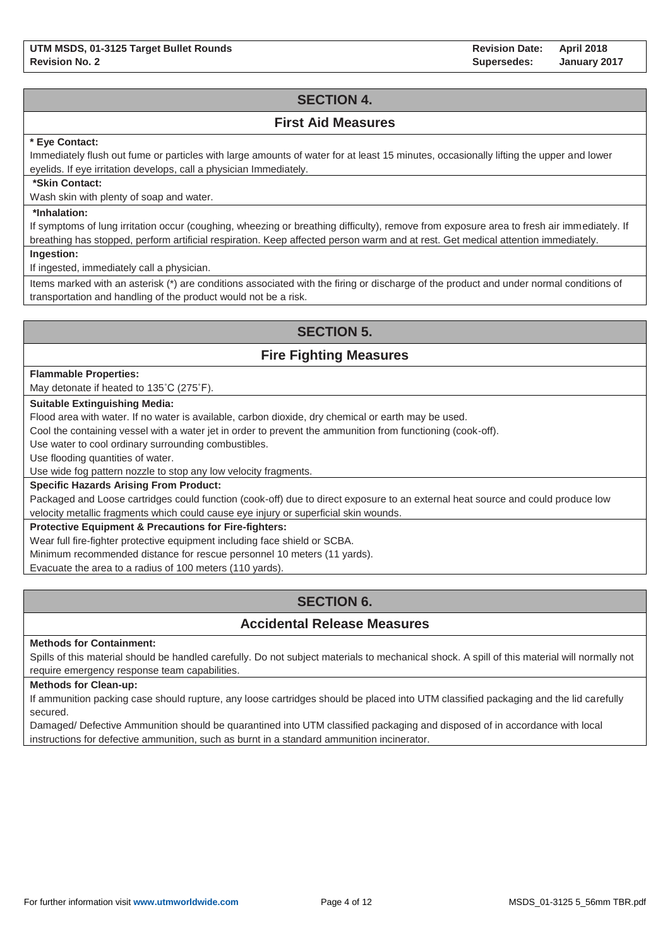# **SECTION 4.**

## **First Aid Measures**

### **\* Eye Contact:**

Immediately flush out fume or particles with large amounts of water for at least 15 minutes, occasionally lifting the upper and lower eyelids. If eye irritation develops, call a physician Immediately.

### **\*Skin Contact:**

Wash skin with plenty of soap and water.

### **\*Inhalation:**

If symptoms of lung irritation occur (coughing, wheezing or breathing difficulty), remove from exposure area to fresh air immediately. If breathing has stopped, perform artificial respiration. Keep affected person warm and at rest. Get medical attention immediately.

**Ingestion:**

If ingested, immediately call a physician.

Items marked with an asterisk (\*) are conditions associated with the firing or discharge of the product and under normal conditions of transportation and handling of the product would not be a risk.

# **SECTION 5.**

## **Fire Fighting Measures**

#### **Flammable Properties:**

May detonate if heated to 135˚C (275˚F).

### **Suitable Extinguishing Media:**

Flood area with water. If no water is available, carbon dioxide, dry chemical or earth may be used.

Cool the containing vessel with a water jet in order to prevent the ammunition from functioning (cook-off).

Use water to cool ordinary surrounding combustibles.

Use flooding quantities of water.

Use wide fog pattern nozzle to stop any low velocity fragments.

### **Specific Hazards Arising From Product:**

Packaged and Loose cartridges could function (cook-off) due to direct exposure to an external heat source and could produce low velocity metallic fragments which could cause eye injury or superficial skin wounds.

### **Protective Equipment & Precautions for Fire-fighters:**

Wear full fire-fighter protective equipment including face shield or SCBA.

Minimum recommended distance for rescue personnel 10 meters (11 yards).

Evacuate the area to a radius of 100 meters (110 yards).

# **SECTION 6.**

## **Accidental Release Measures**

#### **Methods for Containment:**

Spills of this material should be handled carefully. Do not subject materials to mechanical shock. A spill of this material will normally not require emergency response team capabilities.

#### **Methods for Clean-up:**

If ammunition packing case should rupture, any loose cartridges should be placed into UTM classified packaging and the lid carefully secured.

Damaged/ Defective Ammunition should be quarantined into UTM classified packaging and disposed of in accordance with local instructions for defective ammunition, such as burnt in a standard ammunition incinerator.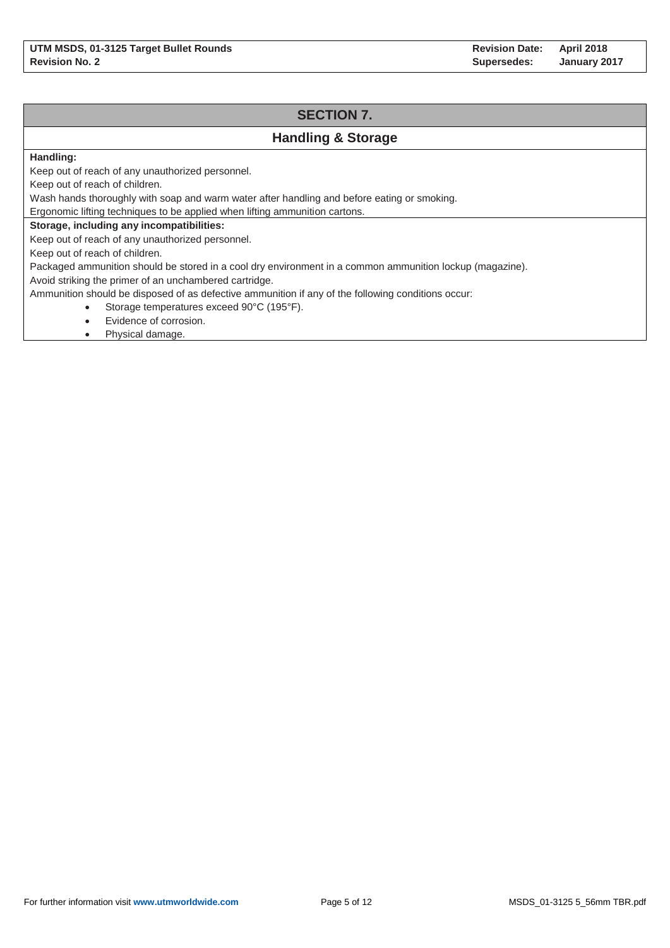# **SECTION 7.**

# **Handling & Storage**

### **Handling:**

Keep out of reach of any unauthorized personnel.

Keep out of reach of children.

Wash hands thoroughly with soap and warm water after handling and before eating or smoking.

Ergonomic lifting techniques to be applied when lifting ammunition cartons.

### **Storage, including any incompatibilities:**

Keep out of reach of any unauthorized personnel.

Keep out of reach of children.

Packaged ammunition should be stored in a cool dry environment in a common ammunition lockup (magazine).

Avoid striking the primer of an unchambered cartridge.

Ammunition should be disposed of as defective ammunition if any of the following conditions occur:

- Storage temperatures exceed 90°C (195°F).
- Evidence of corrosion.
- Physical damage.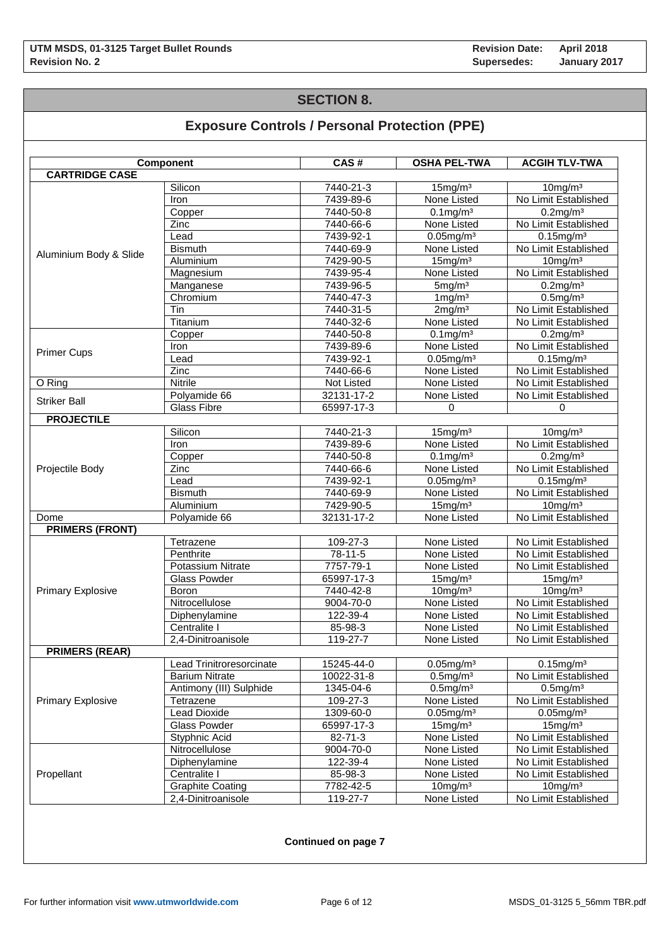## **SECTION 8.**

# **Exposure Controls / Personal Protection (PPE)**

|                          | Component                | CAS#              | <b>OSHA PEL-TWA</b>               | <b>ACGIH TLV-TWA</b> |  |
|--------------------------|--------------------------|-------------------|-----------------------------------|----------------------|--|
| <b>CARTRIDGE CASE</b>    |                          |                   |                                   |                      |  |
|                          | Silicon                  | 7440-21-3         | 15mg/m <sup>3</sup>               | $10$ mg/m $3$        |  |
|                          | Iron                     | 7439-89-6         | None Listed                       | No Limit Established |  |
|                          | Copper                   | 7440-50-8         | $0.1$ mg/m $3$                    | $0.2$ mg/m $3$       |  |
|                          | Zinc                     | 7440-66-6         | None Listed                       | No Limit Established |  |
|                          | Lead                     | 7439-92-1         | $0.05$ mg/m $3$                   | $0.15$ mg/m $3$      |  |
| Aluminium Body & Slide   | <b>Bismuth</b>           | 7440-69-9         | None Listed                       | No Limit Established |  |
|                          | Aluminium                | 7429-90-5         | $15$ mg/m $3$                     | $10$ mg/m $3$        |  |
|                          | Magnesium                | 7439-95-4         | None Listed                       | No Limit Established |  |
|                          | Manganese                | 7439-96-5         | 5mg/m <sup>3</sup>                | $0.2$ mg/m $3$       |  |
|                          | Chromium                 | 7440-47-3         | $1 \,\mathrm{mg/m^3}$             | $0.5$ mg/m $3$       |  |
|                          | Tin                      | 7440-31-5         | 2mg/m <sup>3</sup>                | No Limit Established |  |
|                          | Titanium                 | 7440-32-6         | None Listed                       | No Limit Established |  |
|                          | Copper                   | 7440-50-8         | $0.1$ mg/m $3$                    | $0.2$ mg/m $3$       |  |
| <b>Primer Cups</b>       | Iron                     | 7439-89-6         | None Listed                       | No Limit Established |  |
|                          | Lead                     | 7439-92-1         | $0.05$ mg/m $3$                   | $0.15$ mg/m $3$      |  |
|                          | Zinc                     | 7440-66-6         | None Listed                       | No Limit Established |  |
| O Ring                   | <b>Nitrile</b>           | <b>Not Listed</b> | None Listed                       | No Limit Established |  |
| <b>Striker Ball</b>      | Polyamide 66             | 32131-17-2        | None Listed                       | No Limit Established |  |
|                          | <b>Glass Fibre</b>       | 65997-17-3        | 0                                 | 0                    |  |
| <b>PROJECTILE</b>        |                          |                   |                                   |                      |  |
|                          | Silicon                  | 7440-21-3         | 15mg/m <sup>3</sup>               | 10mg/m <sup>3</sup>  |  |
|                          | Iron                     | 7439-89-6         | None Listed                       | No Limit Established |  |
|                          | Copper                   | 7440-50-8         | $0.1$ mg/m $3$                    | $0.2$ mg/m $3$       |  |
| Projectile Body          | Zinc                     | 7440-66-6         | None Listed                       | No Limit Established |  |
|                          | Lead                     | 7439-92-1         | $0.05$ mg/m $3$                   | $0.15$ mg/m $3$      |  |
|                          | <b>Bismuth</b>           | 7440-69-9         | None Listed                       | No Limit Established |  |
|                          | Aluminium                | 7429-90-5         | 15mg/m <sup>3</sup>               | $10$ mg/m $3$        |  |
| Dome                     | Polyamide 66             | 32131-17-2        | None Listed                       | No Limit Established |  |
| <b>PRIMERS (FRONT)</b>   |                          |                   |                                   |                      |  |
|                          | Tetrazene                | 109-27-3          | None Listed                       | No Limit Established |  |
|                          | Penthrite                | 78-11-5           | None Listed                       | No Limit Established |  |
|                          | Potassium Nitrate        | 7757-79-1         | None Listed                       | No Limit Established |  |
|                          | <b>Glass Powder</b>      | 65997-17-3        | $15$ mg/m $3$                     | 15mg/m <sup>3</sup>  |  |
| <b>Primary Explosive</b> | <b>Boron</b>             | 7440-42-8         | $10$ mg/m $3$                     | $10$ mg/m $3$        |  |
|                          | Nitrocellulose           | 9004-70-0         | None Listed                       | No Limit Established |  |
|                          | Diphenylamine            | 122-39-4          | None Listed                       | No Limit Established |  |
|                          | Centralite I             | 85-98-3           | None Listed                       | No Limit Established |  |
|                          | 2,4-Dinitroanisole       | 119-27-7          | None Listed                       | No Limit Established |  |
| <b>PRIMERS (REAR)</b>    |                          |                   |                                   |                      |  |
|                          | Lead Trinitroresorcinate | 15245-44-0        | $0.05$ mg/m $3$                   | $0.15$ mg/m $3$      |  |
|                          | <b>Barium Nitrate</b>    | 10022-31-8        | $0.5$ mg/m $3$                    | No Limit Established |  |
|                          | Antimony (III) Sulphide  | 1345-04-6         | 0.5 <sub>m</sub> g/m <sup>3</sup> | $0.5$ mg/m $3$       |  |
| <b>Primary Explosive</b> | Tetrazene                | 109-27-3          | None Listed                       | No Limit Established |  |
|                          | <b>Lead Dioxide</b>      | 1309-60-0         | $0.05$ mg/m $3$                   | $0.05$ mg/m $3$      |  |
|                          | <b>Glass Powder</b>      | 65997-17-3        | $15$ mg/m $3$                     | $15$ mg/m $3$        |  |
|                          | Styphnic Acid            | 82-71-3           | None Listed                       | No Limit Established |  |
|                          | Nitrocellulose           | 9004-70-0         | None Listed                       | No Limit Established |  |
|                          | Diphenylamine            | 122-39-4          | None Listed                       | No Limit Established |  |
| Propellant               | Centralite I             | 85-98-3           | None Listed                       | No Limit Established |  |
|                          | <b>Graphite Coating</b>  | 7782-42-5         | $10$ mg/m $3$                     | $10$ mg/m $3$        |  |
|                          | 2,4-Dinitroanisole       | 119-27-7          | None Listed                       | No Limit Established |  |
|                          |                          |                   |                                   |                      |  |

**Continued on page 7**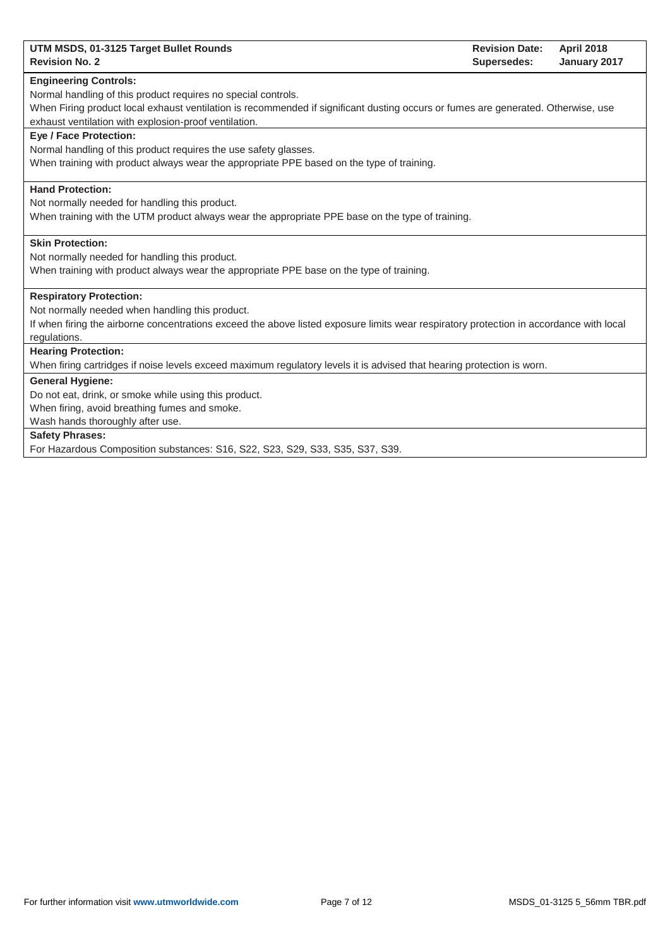| UTM MSDS, 01-3125 Target Bullet Rounds<br><b>Revision No. 2</b>                                                                         | <b>Revision Date:</b><br>Supersedes: | <b>April 2018</b><br>January 2017 |
|-----------------------------------------------------------------------------------------------------------------------------------------|--------------------------------------|-----------------------------------|
| <b>Engineering Controls:</b>                                                                                                            |                                      |                                   |
| Normal handling of this product requires no special controls.                                                                           |                                      |                                   |
| When Firing product local exhaust ventilation is recommended if significant dusting occurs or fumes are generated. Otherwise, use       |                                      |                                   |
| exhaust ventilation with explosion-proof ventilation.                                                                                   |                                      |                                   |
| <b>Eve / Face Protection:</b>                                                                                                           |                                      |                                   |
| Normal handling of this product requires the use safety glasses.                                                                        |                                      |                                   |
| When training with product always wear the appropriate PPE based on the type of training.                                               |                                      |                                   |
| <b>Hand Protection:</b>                                                                                                                 |                                      |                                   |
| Not normally needed for handling this product.                                                                                          |                                      |                                   |
| When training with the UTM product always wear the appropriate PPE base on the type of training.                                        |                                      |                                   |
| <b>Skin Protection:</b>                                                                                                                 |                                      |                                   |
| Not normally needed for handling this product.                                                                                          |                                      |                                   |
| When training with product always wear the appropriate PPE base on the type of training.                                                |                                      |                                   |
| <b>Respiratory Protection:</b>                                                                                                          |                                      |                                   |
| Not normally needed when handling this product.                                                                                         |                                      |                                   |
| If when firing the airborne concentrations exceed the above listed exposure limits wear respiratory protection in accordance with local |                                      |                                   |
| regulations.                                                                                                                            |                                      |                                   |
| <b>Hearing Protection:</b>                                                                                                              |                                      |                                   |
| When firing cartridges if noise levels exceed maximum regulatory levels it is advised that hearing protection is worn.                  |                                      |                                   |
| <b>General Hygiene:</b>                                                                                                                 |                                      |                                   |
| Do not eat, drink, or smoke while using this product.                                                                                   |                                      |                                   |
| When firing, avoid breathing fumes and smoke.                                                                                           |                                      |                                   |
| Wash hands thoroughly after use.                                                                                                        |                                      |                                   |
| <b>Safety Phrases:</b>                                                                                                                  |                                      |                                   |
| For Hazardous Composition substances: S16, S22, S23, S29, S33, S35, S37, S39.                                                           |                                      |                                   |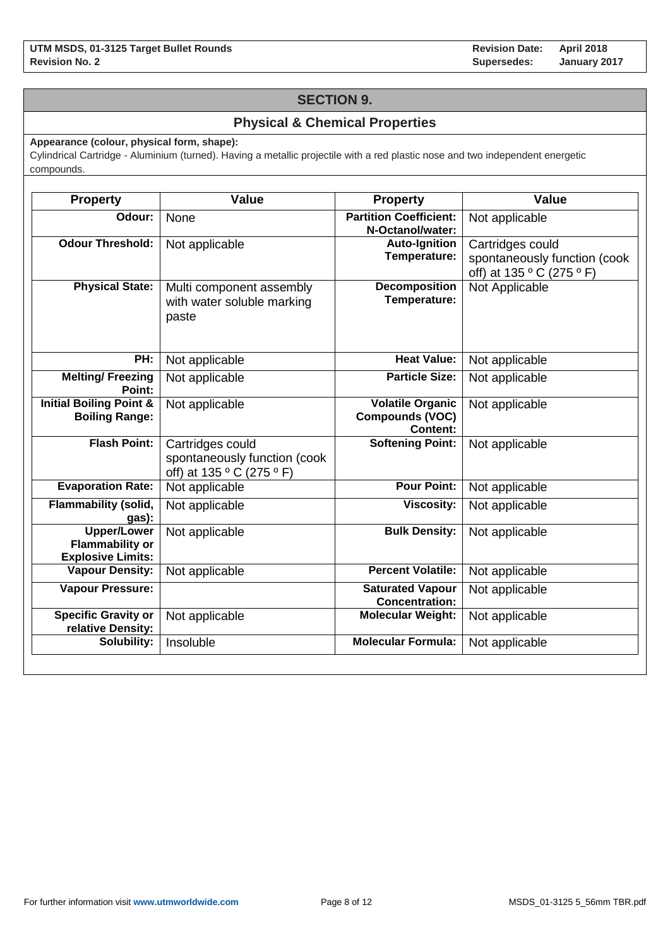## **SECTION 9.**

## **Physical & Chemical Properties**

**Appearance (colour, physical form, shape):**

Cylindrical Cartridge - Aluminium (turned). Having a metallic projectile with a red plastic nose and two independent energetic compounds.

| <b>Property</b>                                                          | <b>Value</b>                                                                  | <b>Property</b>                                                      | <b>Value</b>                                                                  |
|--------------------------------------------------------------------------|-------------------------------------------------------------------------------|----------------------------------------------------------------------|-------------------------------------------------------------------------------|
| Odour:                                                                   | None                                                                          | <b>Partition Coefficient:</b><br>N-Octanol/water:                    | Not applicable                                                                |
| <b>Odour Threshold:</b>                                                  | Not applicable                                                                | <b>Auto-Ignition</b><br>Temperature:                                 | Cartridges could<br>spontaneously function (cook<br>off) at 135 ° C (275 ° F) |
| <b>Physical State:</b>                                                   | Multi component assembly<br>with water soluble marking<br>paste               | <b>Decomposition</b><br>Temperature:                                 | Not Applicable                                                                |
| PH:                                                                      | Not applicable                                                                | <b>Heat Value:</b>                                                   | Not applicable                                                                |
| <b>Melting/Freezing</b><br>Point:                                        | Not applicable                                                                | <b>Particle Size:</b>                                                | Not applicable                                                                |
| <b>Initial Boiling Point &amp;</b><br><b>Boiling Range:</b>              | Not applicable                                                                | <b>Volatile Organic</b><br><b>Compounds (VOC)</b><br><b>Content:</b> | Not applicable                                                                |
| <b>Flash Point:</b>                                                      | Cartridges could<br>spontaneously function (cook<br>off) at 135 ° C (275 ° F) | <b>Softening Point:</b>                                              | Not applicable                                                                |
| <b>Evaporation Rate:</b>                                                 | Not applicable                                                                | <b>Pour Point:</b>                                                   | Not applicable                                                                |
| <b>Flammability (solid,</b><br>gas):                                     | Not applicable                                                                | <b>Viscosity:</b>                                                    | Not applicable                                                                |
| <b>Upper/Lower</b><br><b>Flammability or</b><br><b>Explosive Limits:</b> | Not applicable                                                                | <b>Bulk Density:</b>                                                 | Not applicable                                                                |
| <b>Vapour Density:</b>                                                   | Not applicable                                                                | <b>Percent Volatile:</b>                                             | Not applicable                                                                |
| <b>Vapour Pressure:</b>                                                  |                                                                               | <b>Saturated Vapour</b><br><b>Concentration:</b>                     | Not applicable                                                                |
| <b>Specific Gravity or</b><br>relative Density:                          | Not applicable                                                                | <b>Molecular Weight:</b>                                             | Not applicable                                                                |
| Solubility:                                                              | Insoluble                                                                     | <b>Molecular Formula:</b>                                            | Not applicable                                                                |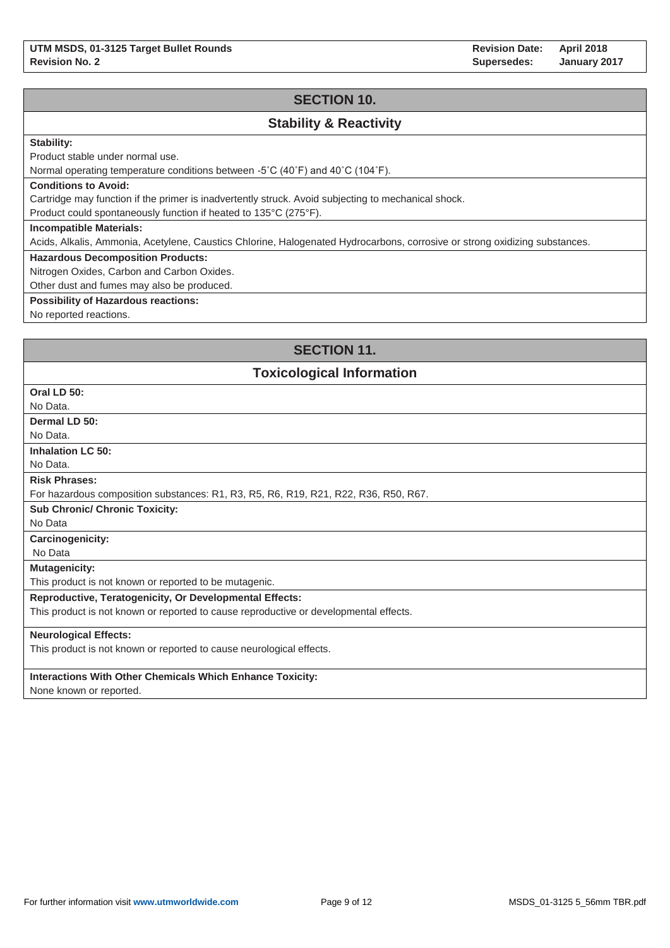## **SECTION 10.**

## **Stability & Reactivity**

## **Stability:**

Product stable under normal use.

Normal operating temperature conditions between -5˚C (40˚F) and 40˚C (104˚F).

#### **Conditions to Avoid:**

Cartridge may function if the primer is inadvertently struck. Avoid subjecting to mechanical shock.

Product could spontaneously function if heated to 135°C (275°F).

#### **Incompatible Materials:**

Acids, Alkalis, Ammonia, Acetylene, Caustics Chlorine, Halogenated Hydrocarbons, corrosive or strong oxidizing substances.

### **Hazardous Decomposition Products:**

Nitrogen Oxides, Carbon and Carbon Oxides.

Other dust and fumes may also be produced.

### **Possibility of Hazardous reactions:**

No reported reactions.

## **SECTION 11.**

## **Toxicological Information**

| Oral LD 50:                                                                           |
|---------------------------------------------------------------------------------------|
| No Data.                                                                              |
| Dermal LD 50:                                                                         |
| No Data.                                                                              |
| <b>Inhalation LC 50:</b>                                                              |
| No Data.                                                                              |
| <b>Risk Phrases:</b>                                                                  |
| For hazardous composition substances: R1, R3, R5, R6, R19, R21, R22, R36, R50, R67.   |
| <b>Sub Chronic/ Chronic Toxicity:</b>                                                 |
| No Data                                                                               |
| <b>Carcinogenicity:</b>                                                               |
| No Data                                                                               |
| <b>Mutagenicity:</b>                                                                  |
| This product is not known or reported to be mutagenic.                                |
| <b>Reproductive, Teratogenicity, Or Developmental Effects:</b>                        |
| This product is not known or reported to cause reproductive or developmental effects. |
| <b>Neurological Effects:</b>                                                          |
| This product is not known or reported to cause neurological effects.                  |
|                                                                                       |
| <b>Interactions With Other Chemicals Which Enhance Toxicity:</b>                      |
| $\blacksquare$                                                                        |

None known or reported.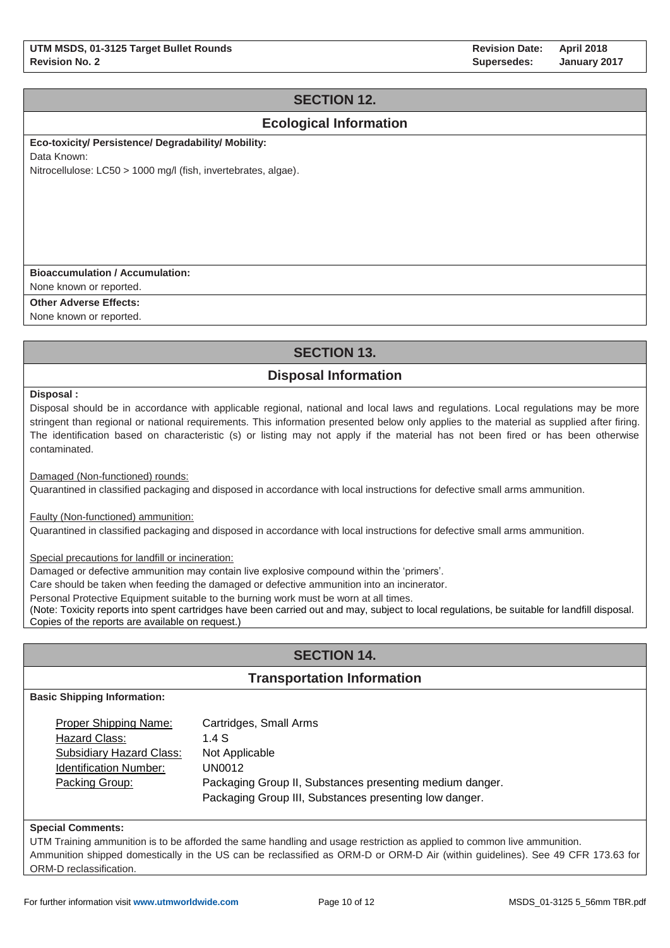# **SECTION 12.**

## **Ecological Information**

**Eco-toxicity/ Persistence/ Degradability/ Mobility:**

Data Known:

Nitrocellulose: LC50 > 1000 mg/l (fish, invertebrates, algae).

### **Bioaccumulation / Accumulation:**

None known or reported.

**Other Adverse Effects:**

None known or reported.

# **SECTION 13.**

# **Disposal Information**

**Disposal :**

Disposal should be in accordance with applicable regional, national and local laws and regulations. Local regulations may be more stringent than regional or national requirements. This information presented below only applies to the material as supplied after firing. The identification based on characteristic (s) or listing may not apply if the material has not been fired or has been otherwise contaminated.

Damaged (Non-functioned) rounds:

Quarantined in classified packaging and disposed in accordance with local instructions for defective small arms ammunition.

Faulty (Non-functioned) ammunition:

Quarantined in classified packaging and disposed in accordance with local instructions for defective small arms ammunition.

Special precautions for landfill or incineration:

Damaged or defective ammunition may contain live explosive compound within the 'primers'.

Care should be taken when feeding the damaged or defective ammunition into an incinerator.

Personal Protective Equipment suitable to the burning work must be worn at all times.

(Note: Toxicity reports into spent cartridges have been carried out and may, subject to local regulations, be suitable for landfill disposal. Copies of the reports are available on request.)

# **SECTION 14.**

## **Transportation Information**

**Basic Shipping Information:**

| Proper Shipping Name:         | Cartridges, Small Arms                                   |
|-------------------------------|----------------------------------------------------------|
| Hazard Class:                 | 1.4S                                                     |
| Subsidiary Hazard Class:      | Not Applicable                                           |
| <b>Identification Number:</b> | UN0012                                                   |
| Packing Group:                | Packaging Group II, Substances presenting medium danger. |
|                               | Packaging Group III, Substances presenting low danger.   |

#### **Special Comments:**

UTM Training ammunition is to be afforded the same handling and usage restriction as applied to common live ammunition. Ammunition shipped domestically in the US can be reclassified as ORM-D or ORM-D Air (within guidelines). See 49 CFR 173.63 for ORM-D reclassification.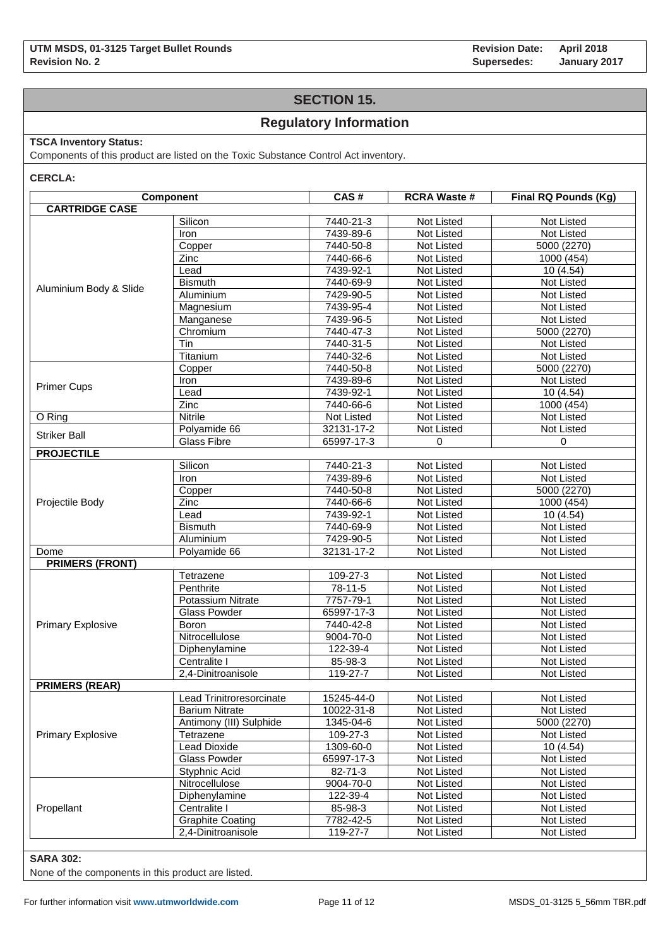## **SECTION 15.**

## **Regulatory Information**

## **TSCA Inventory Status:**

Components of this product are listed on the Toxic Substance Control Act inventory.

**CERCLA:**

|                          | Component                | CAS#          | <b>RCRA Waste #</b> | Final RQ Pounds (Kg) |  |
|--------------------------|--------------------------|---------------|---------------------|----------------------|--|
| <b>CARTRIDGE CASE</b>    |                          |               |                     |                      |  |
|                          | Silicon                  | 7440-21-3     | Not Listed          | <b>Not Listed</b>    |  |
|                          | Iron                     | 7439-89-6     | Not Listed          | Not Listed           |  |
|                          | Copper                   | 7440-50-8     | Not Listed          | 5000 (2270)          |  |
|                          | Zinc                     | 7440-66-6     | Not Listed          | 1000 (454)           |  |
|                          | Lead                     | 7439-92-1     | Not Listed          | 10(4.54)             |  |
| Aluminium Body & Slide   | <b>Bismuth</b>           | 7440-69-9     | Not Listed          | Not Listed           |  |
|                          | Aluminium                | 7429-90-5     | Not Listed          | <b>Not Listed</b>    |  |
|                          | Magnesium                | 7439-95-4     | Not Listed          | Not Listed           |  |
|                          | Manganese                | 7439-96-5     | Not Listed          | Not Listed           |  |
|                          | Chromium                 | 7440-47-3     | Not Listed          | 5000 (2270)          |  |
|                          | Tin                      | 7440-31-5     | Not Listed          | Not Listed           |  |
|                          | Titanium                 | 7440-32-6     | Not Listed          | Not Listed           |  |
|                          | Copper                   | 7440-50-8     | Not Listed          | 5000 (2270)          |  |
|                          | Iron                     | 7439-89-6     | Not Listed          | Not Listed           |  |
| <b>Primer Cups</b>       | Lead                     | 7439-92-1     | Not Listed          | 10 (4.54)            |  |
|                          | Zinc                     | 7440-66-6     | Not Listed          | 1000 (454)           |  |
| O Ring                   | <b>Nitrile</b>           | Not Listed    | Not Listed          | Not Listed           |  |
| <b>Striker Ball</b>      | Polyamide 66             | 32131-17-2    | Not Listed          | Not Listed           |  |
|                          | <b>Glass Fibre</b>       | 65997-17-3    | 0                   | $\mathbf 0$          |  |
| <b>PROJECTILE</b>        |                          |               |                     |                      |  |
|                          | Silicon                  | 7440-21-3     | Not Listed          | Not Listed           |  |
|                          | Iron                     | 7439-89-6     | <b>Not Listed</b>   | Not Listed           |  |
|                          | Copper                   | 7440-50-8     | Not Listed          | 5000 (2270)          |  |
| Projectile Body          | Zinc                     | 7440-66-6     | Not Listed          | 1000 (454)           |  |
|                          | Lead                     | 7439-92-1     | Not Listed          | 10 (4.54)            |  |
|                          | <b>Bismuth</b>           | 7440-69-9     | Not Listed          | Not Listed           |  |
|                          | Aluminium                | 7429-90-5     | Not Listed          | Not Listed           |  |
| Dome                     | Polyamide 66             | 32131-17-2    | Not Listed          | <b>Not Listed</b>    |  |
| <b>PRIMERS (FRONT)</b>   |                          |               |                     |                      |  |
|                          | Tetrazene                | 109-27-3      | Not Listed          | Not Listed           |  |
|                          | Penthrite                | 78-11-5       | Not Listed          | Not Listed           |  |
|                          | Potassium Nitrate        | 7757-79-1     | Not Listed          | Not Listed           |  |
|                          | <b>Glass Powder</b>      | 65997-17-3    | Not Listed          | Not Listed           |  |
| <b>Primary Explosive</b> | <b>Boron</b>             | 7440-42-8     | Not Listed          | Not Listed           |  |
|                          | Nitrocellulose           | 9004-70-0     | Not Listed          | Not Listed           |  |
|                          | Diphenylamine            | 122-39-4      | Not Listed          | Not Listed           |  |
|                          | Centralite I             | 85-98-3       | Not Listed          | Not Listed           |  |
|                          | 2,4-Dinitroanisole       | 119-27-7      | Not Listed          | Not Listed           |  |
| <b>PRIMERS (REAR)</b>    |                          |               |                     |                      |  |
|                          | Lead Trinitroresorcinate | 15245-44-0    | Not Listed          | Not Listed           |  |
|                          | <b>Barium Nitrate</b>    | 10022-31-8    | Not Listed          | Not Listed           |  |
| <b>Primary Explosive</b> | Antimony (III) Sulphide  | 1345-04-6     | Not Listed          | 5000 (2270)          |  |
|                          | Tetrazene                | 109-27-3      | Not Listed          | Not Listed           |  |
|                          | <b>Lead Dioxide</b>      | 1309-60-0     | Not Listed          | 10 (4.54)            |  |
|                          | Glass Powder             | 65997-17-3    | Not Listed          | Not Listed           |  |
|                          | Styphnic Acid            | $82 - 71 - 3$ | Not Listed          | Not Listed           |  |
|                          | Nitrocellulose           | 9004-70-0     | Not Listed          | Not Listed           |  |
|                          | Diphenylamine            | 122-39-4      | Not Listed          | Not Listed           |  |
| Propellant               | Centralite I             | 85-98-3       | Not Listed          | Not Listed           |  |
|                          | <b>Graphite Coating</b>  | 7782-42-5     | Not Listed          | Not Listed           |  |
|                          | 2,4-Dinitroanisole       | 119-27-7      | Not Listed          | Not Listed           |  |

### **SARA 302:**

None of the components in this product are listed.